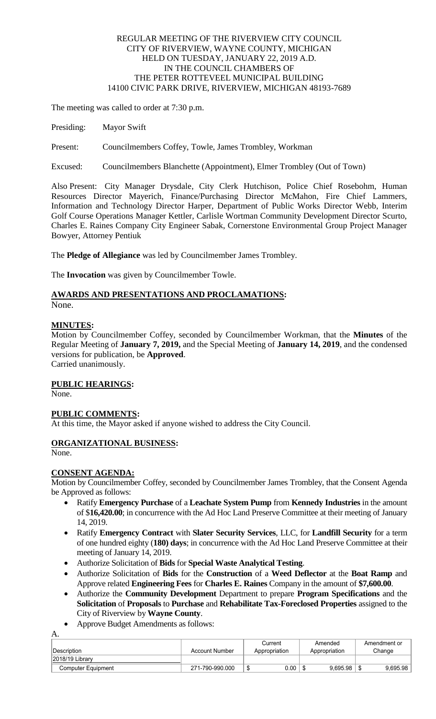### REGULAR MEETING OF THE RIVERVIEW CITY COUNCIL CITY OF RIVERVIEW, WAYNE COUNTY, MICHIGAN HELD ON TUESDAY, JANUARY 22, 2019 A.D. IN THE COUNCIL CHAMBERS OF THE PETER ROTTEVEEL MUNICIPAL BUILDING 14100 CIVIC PARK DRIVE, RIVERVIEW, MICHIGAN 48193-7689

The meeting was called to order at 7:30 p.m.

Presiding: Mayor Swift

Present: Councilmembers Coffey, Towle, James Trombley, Workman

Excused: Councilmembers Blanchette (Appointment), Elmer Trombley (Out of Town)

Also Present: City Manager Drysdale, City Clerk Hutchison, Police Chief Rosebohm, Human Resources Director Mayerich, Finance/Purchasing Director McMahon, Fire Chief Lammers, Information and Technology Director Harper, Department of Public Works Director Webb, Interim Golf Course Operations Manager Kettler, Carlisle Wortman Community Development Director Scurto, Charles E. Raines Company City Engineer Sabak, Cornerstone Environmental Group Project Manager Bowyer, Attorney Pentiuk

The **Pledge of Allegiance** was led by Councilmember James Trombley.

The **Invocation** was given by Councilmember Towle.

# **AWARDS AND PRESENTATIONS AND PROCLAMATIONS:**

None.

### **MINUTES:**

Motion by Councilmember Coffey, seconded by Councilmember Workman, that the **Minutes** of the Regular Meeting of **January 7, 2019,** and the Special Meeting of **January 14, 2019**, and the condensed versions for publication, be **Approved**.

Carried unanimously.

### **PUBLIC HEARINGS:**

None.

### **PUBLIC COMMENTS:**

At this time, the Mayor asked if anyone wished to address the City Council.

## **ORGANIZATIONAL BUSINESS:**

None.

A.

## **CONSENT AGENDA:**

Motion by Councilmember Coffey, seconded by Councilmember James Trombley, that the Consent Agenda be Approved as follows:

- Ratify **Emergency Purchase** of a **Leachate System Pump** from **Kennedy Industries** in the amount of \$**16,420.00**; in concurrence with the Ad Hoc Land Preserve Committee at their meeting of January 14, 2019.
- Ratify **Emergency Contract** with **Slater Security Services**, LLC, for **Landfill Security** for a term of one hundred eighty (**180) days**; in concurrence with the Ad Hoc Land Preserve Committee at their meeting of January 14, 2019.
- Authorize Solicitation of **Bids** for **Special Waste Analytical Testing**.
- Authorize Solicitation of **Bids** for the **Construction** of a **Weed Deflector** at the **Boat Ramp** and Approve related **Engineering Fees** for **Charles E. Raines** Company in the amount of **\$7,600.00**.
- Authorize the **Community Development** Department to prepare **Program Specifications** and the **Solicitation** of **Proposals** to **Purchase** and **Rehabilitate Tax-Foreclosed Properties** assigned to the City of Riverview by **Wayne County**.
- Approve Budget Amendments as follows:

|                    |                 | Current       | Amended       | Amendment or |
|--------------------|-----------------|---------------|---------------|--------------|
| ∣Description_      | Account Number  | Appropriation | Appropriation | Change       |
| 12018/19 Library   |                 |               |               |              |
| Computer Equipment | 271-790-990.000 | 0.00          | 9.695.98      | 9,695.98     |